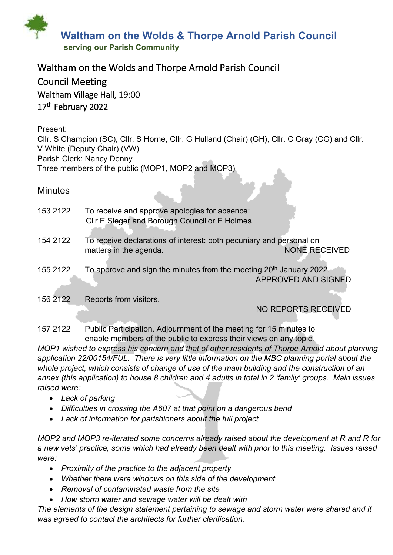

# Waltham on the Wolds and Thorpe Arnold Parish Council

Council Meeting Waltham Village Hall, 19:00 17<sup>th</sup> February 2022

## Present:

Cllr. S Champion (SC), Cllr. S Horne, Cllr. G Hulland (Chair) (GH), Cllr. C Gray (CG) and Cllr. V White (Deputy Chair) (VW) Parish Clerk: Nancy Denny Three members of the public (MOP1, MOP2 and MOP3)

## **Minutes**

| 153 2122 | To receive and approve apologies for absence:                                   |                            |
|----------|---------------------------------------------------------------------------------|----------------------------|
|          | CIIr E Sleger and Borough Councillor E Holmes                                   |                            |
|          |                                                                                 |                            |
| 154 2122 | To receive declarations of interest: both pecuniary and personal on             |                            |
|          | matters in the agenda.                                                          | <b>NONE RECEIVED</b>       |
|          |                                                                                 |                            |
| 155 2122 | To approve and sign the minutes from the meeting 20 <sup>th</sup> January 2022. |                            |
|          |                                                                                 | <b>APPROVED AND SIGNED</b> |
|          |                                                                                 |                            |
| 156 2122 | Reports from visitors.                                                          |                            |
|          |                                                                                 | <b>NO REPORTS RECEIVED</b> |
|          |                                                                                 |                            |

157 2122 Public Participation. Adjournment of the meeting for 15 minutes to enable members of the public to express their views on any topic.

*MOP1 wished to express his concern and that of other residents of Thorpe Arnold about planning application 22/00154/FUL. There is very little information on the MBC planning portal about the whole project, which consists of change of use of the main building and the construction of an annex (this application) to house 8 children and 4 adults in total in 2 'family' groups. Main issues raised were:*

- *Lack of parking*
- *Difficulties in crossing the A607 at that point on a dangerous bend*
- *Lack of information for parishioners about the full project*

*MOP2 and MOP3 re-iterated some concerns already raised about the development at R and R for a new vets' practice, some which had already been dealt with prior to this meeting. Issues raised were:*

- *Proximity of the practice to the adjacent property*
- *Whether there were windows on this side of the development*
- *Removal of contaminated waste from the site*
- *How storm water and sewage water will be dealt with*

*The elements of the design statement pertaining to sewage and storm water were shared and it was agreed to contact the architects for further clarification.*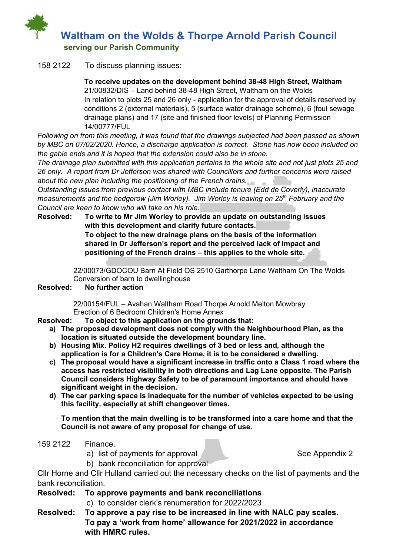

#### 158 2122 To discuss planning issues:

**To receive updates on the development behind 38-48 High Street, Waltham** 21/00832/DIS – Land behind 38-48 High Street, Waltham on the Wolds In relation to plots 25 and 26 only - application for the approval of details reserved by conditions 2 (external materials), 5 (surface water drainage scheme), 6 (foul sewage drainage plans) and 17 (site and finished floor levels) of Planning Permission 14/00777/FUL

*Following on from this meeting, it was found that the drawings subjected had been passed as shown by MBC on 07/02/2020. Hence, a discharge application is correct. Stone has now been included on the gable ends and it is hoped that the extension could also be in stone.* 

*The drainage plan submitted with this application pertains to the whole site and not just plots 25 and 26 only. A report from Dr Jefferson was shared with Councillors and further concerns were raised about the new plan including the positioning of the French drains.*

*Outstanding issues from previous contact with MBC include tenure (Edd de Coverly), inaccurate measurements and the hedgerow (Jim Worley). Jim Worley is leaving on 25th February and the Council are keen to know who will take on his role.*

**Resolved: To write to Mr Jim Worley to provide an update on outstanding issues with this development and clarify future contacts.**

**To object to the new drainage plans on the basis of the information shared in Dr Jefferson's report and the perceived lack of impact and positioning of the French drains – this applies to the whole site.**

 22/00073/GDOCOU Barn At Field OS 2510 Garthorpe Lane Waltham On The Wolds Conversion of barn to dwellinghouse

#### **Resolved: No further action**

 22/00154/FUL – Avahan Waltham Road Thorpe Arnold Melton Mowbray Erection of 6 Bedroom Children's Home Annex

- **Resolved: To object to this application on the grounds that:**
	- **a) The proposed development does not comply with the Neighbourhood Plan, as the location is situated outside the development boundary line.**
	- **b) Housing Mix. Policy H2 requires dwellings of 3 bed or less and, although the application is for a Children's Care Home, it is to be considered a dwelling.**
	- **c) The proposal would have a significant increase in traffic onto a Class 1 road where the access has restricted visibility in both directions and Lag Lane opposite. The Parish Council considers Highway Safety to be of paramount importance and should have significant weight in the decision.**
	- **d) The car parking space is inadequate for the number of vehicles expected to be using this facility, especially at shift changeover times.**

**To mention that the main dwelling is to be transformed into a care home and that the Council is not aware of any proposal for change of use.**

- 159 2122 Finance.
	- a) list of payments for approval See Appendix 2

b) bank reconciliation for approval

Cllr Horne and Cllr Hulland carried out the necessary checks on the list of payments and the bank reconciliation.

### **Resolved: To approve payments and bank reconciliations**

- c) to consider clerk's renumeration for 2022/2023
- **Resolved: To approve a pay rise to be increased in line with NALC pay scales. To pay a 'work from home' allowance for 2021/2022 in accordance with HMRC rules.**